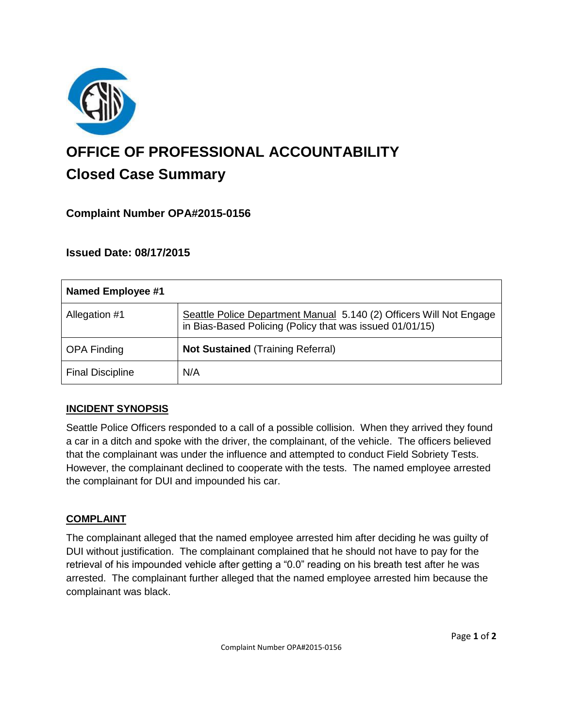

# **OFFICE OF PROFESSIONAL ACCOUNTABILITY Closed Case Summary**

## **Complaint Number OPA#2015-0156**

## **Issued Date: 08/17/2015**

| Named Employee #1       |                                                                                                                                 |
|-------------------------|---------------------------------------------------------------------------------------------------------------------------------|
| Allegation #1           | Seattle Police Department Manual 5.140 (2) Officers Will Not Engage<br>in Bias-Based Policing (Policy that was issued 01/01/15) |
| <b>OPA Finding</b>      | <b>Not Sustained (Training Referral)</b>                                                                                        |
| <b>Final Discipline</b> | N/A                                                                                                                             |

### **INCIDENT SYNOPSIS**

Seattle Police Officers responded to a call of a possible collision. When they arrived they found a car in a ditch and spoke with the driver, the complainant, of the vehicle. The officers believed that the complainant was under the influence and attempted to conduct Field Sobriety Tests. However, the complainant declined to cooperate with the tests. The named employee arrested the complainant for DUI and impounded his car.

### **COMPLAINT**

The complainant alleged that the named employee arrested him after deciding he was guilty of DUI without justification. The complainant complained that he should not have to pay for the retrieval of his impounded vehicle after getting a "0.0" reading on his breath test after he was arrested. The complainant further alleged that the named employee arrested him because the complainant was black.